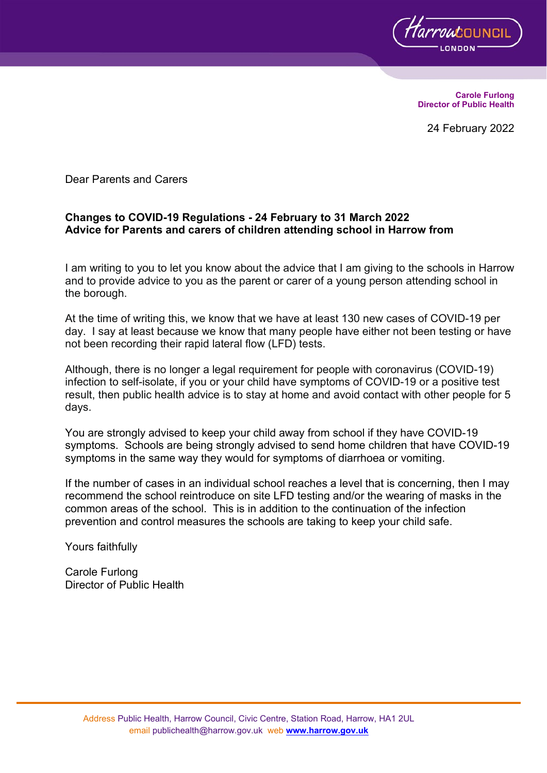

**Carole Furlong Director of Public Health**

24 February 2022

Dear Parents and Carers

#### **Changes to COVID-19 Regulations - 24 February to 31 March 2022 Advice for Parents and carers of children attending school in Harrow from**

I am writing to you to let you know about the advice that I am giving to the schools in Harrow and to provide advice to you as the parent or carer of a young person attending school in the borough.

At the time of writing this, we know that we have at least 130 new cases of COVID-19 per day. I say at least because we know that many people have either not been testing or have not been recording their rapid lateral flow (LFD) tests.

Although, there is no longer a legal requirement for people with coronavirus (COVID-19) infection to self-isolate, if you or your child have symptoms of COVID-19 or a positive test result, then public health advice is to stay at home and avoid contact with other people for 5 days.

You are strongly advised to keep your child away from school if they have COVID-19 symptoms. Schools are being strongly advised to send home children that have COVID-19 symptoms in the same way they would for symptoms of diarrhoea or vomiting.

If the number of cases in an individual school reaches a level that is concerning, then I may recommend the school reintroduce on site LFD testing and/or the wearing of masks in the common areas of the school. This is in addition to the continuation of the infection prevention and control measures the schools are taking to keep your child safe.

Yours faithfully

Carole Furlong Director of Public Health